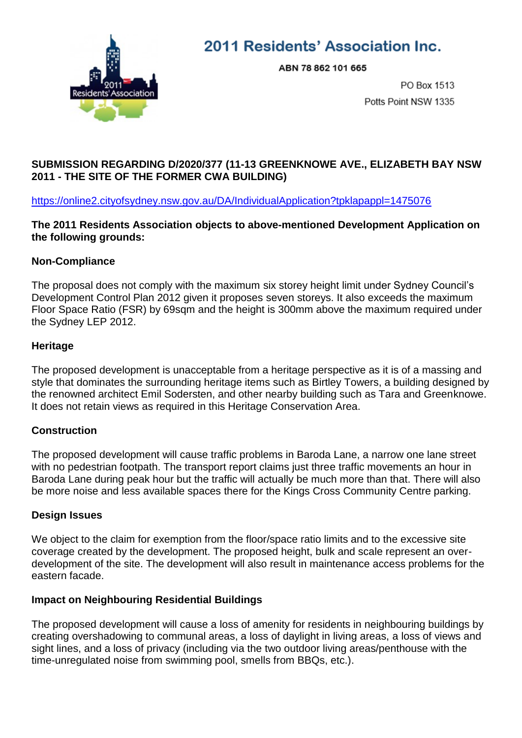

# 2011 Residents' Association Inc.

ABN 78 862 101 665

PO Box 1513 Potts Point NSW 1335

## **SUBMISSION REGARDING D/2020/377 (11-13 GREENKNOWE AVE., ELIZABETH BAY NSW 2011 - THE SITE OF THE FORMER CWA BUILDING)**

<https://online2.cityofsydney.nsw.gov.au/DA/IndividualApplication?tpklapappl=1475076>

**The 2011 Residents Association objects to above-mentioned Development Application on the following grounds:**

### **Non-Compliance**

The proposal does not comply with the maximum six storey height limit under Sydney Council's Development Control Plan 2012 given it proposes seven storeys. It also exceeds the maximum Floor Space Ratio (FSR) by 69sqm and the height is 300mm above the maximum required under the Sydney LEP 2012.

### **Heritage**

The proposed development is unacceptable from a heritage perspective as it is of a massing and style that dominates the surrounding heritage items such as Birtley Towers, a building designed by the renowned architect Emil Sodersten, and other nearby building such as Tara and Greenknowe. It does not retain views as required in this Heritage Conservation Area.

## **Construction**

The proposed development will cause traffic problems in Baroda Lane, a narrow one lane street with no pedestrian footpath. The transport report claims just three traffic movements an hour in Baroda Lane during peak hour but the traffic will actually be much more than that. There will also be more noise and less available spaces there for the Kings Cross Community Centre parking.

## **Design Issues**

We object to the claim for exemption from the floor/space ratio limits and to the excessive site coverage created by the development. The proposed height, bulk and scale represent an overdevelopment of the site. The development will also result in maintenance access problems for the eastern facade.

## **Impact on Neighbouring Residential Buildings**

The proposed development will cause a loss of amenity for residents in neighbouring buildings by creating overshadowing to communal areas, a loss of daylight in living areas, a loss of views and sight lines, and a loss of privacy (including via the two outdoor living areas/penthouse with the time-unregulated noise from swimming pool, smells from BBQs, etc.).